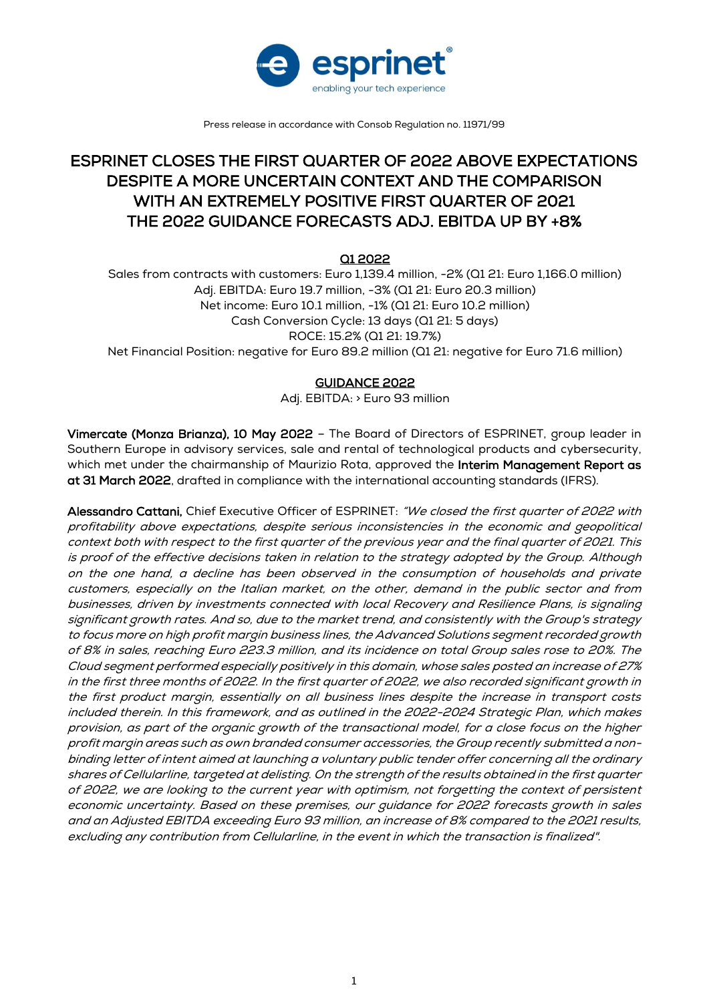

Press release in accordance with Consob Regulation no. 11971/99

# ESPRINET CLOSES THE FIRST QUARTER OF 2022 ABOVE EXPECTATIONS DESPITE A MORE UNCERTAIN CONTEXT AND THE COMPARISON WITH AN EXTREMELY POSITIVE FIRST QUARTER OF 2021 THE 2022 GUIDANCE FORECASTS ADJ. EBITDA UP BY **+**8%

# Q1 2022

Sales from contracts with customers: Euro 1,139.4 million, -2% (Q1 21: Euro 1,166.0 million) Adj. EBITDA: Euro 19.7 million, -3% (Q1 21: Euro 20.3 million) Net income: Euro 10.1 million, -1% (Q1 21: Euro 10.2 million) Cash Conversion Cycle: 13 days (Q1 21: 5 days) ROCE: 15.2% (Q1 21: 19.7%) Net Financial Position: negative for Euro 89.2 million (Q1 21: negative for Euro 71.6 million)

# GUIDANCE 2022

Adj. EBITDA: > Euro 93 million

Vimercate (Monza Brianza), 10 May 2022 – The Board of Directors of ESPRINET, group leader in Southern Europe in advisory services, sale and rental of technological products and cybersecurity, which met under the chairmanship of Maurizio Rota, approved the Interim Management Report as at 31 March 2022, drafted in compliance with the international accounting standards (IFRS).

Alessandro Cattani, Chief Executive Officer of ESPRINET: "We closed the first quarter of 2022 with profitability above expectations, despite serious inconsistencies in the economic and geopolitical context both with respect to the first quarter of the previous year and the final quarter of 2021. This is proof of the effective decisions taken in relation to the strategy adopted by the Group. Although on the one hand, a decline has been observed in the consumption of households and private customers, especially on the Italian market, on the other, demand in the public sector and from businesses, driven by investments connected with local Recovery and Resilience Plans, is signaling significant growth rates. And so, due to the market trend, and consistently with the Group's strategy to focus more on high profit margin business lines, the Advanced Solutions segment recorded growth of 8% in sales, reaching Euro 223.3 million, and its incidence on total Group sales rose to 20%. The Cloud segment performed especially positively in this domain, whose sales posted an increase of 27% in the first three months of 2022. In the first quarter of 2022, we also recorded significant growth in the first product margin, essentially on all business lines despite the increase in transport costs included therein. In this framework, and as outlined in the 2022-2024 Strategic Plan, which makes provision, as part of the organic growth of the transactional model, for a close focus on the higher profit margin areas such as own branded consumer accessories, the Group recently submitted a nonbinding letter of intent aimed at launching a voluntary public tender offer concerning all the ordinary shares of Cellularline, targeted at delisting. On the strength of the results obtained in the first quarter of 2022, we are looking to the current year with optimism, not forgetting the context of persistent economic uncertainty. Based on these premises, our guidance for 2022 forecasts growth in sales and an Adjusted EBITDA exceeding Euro 93 million, an increase of 8% compared to the 2021 results, excluding any contribution from Cellularline, in the event in which the transaction is finalized".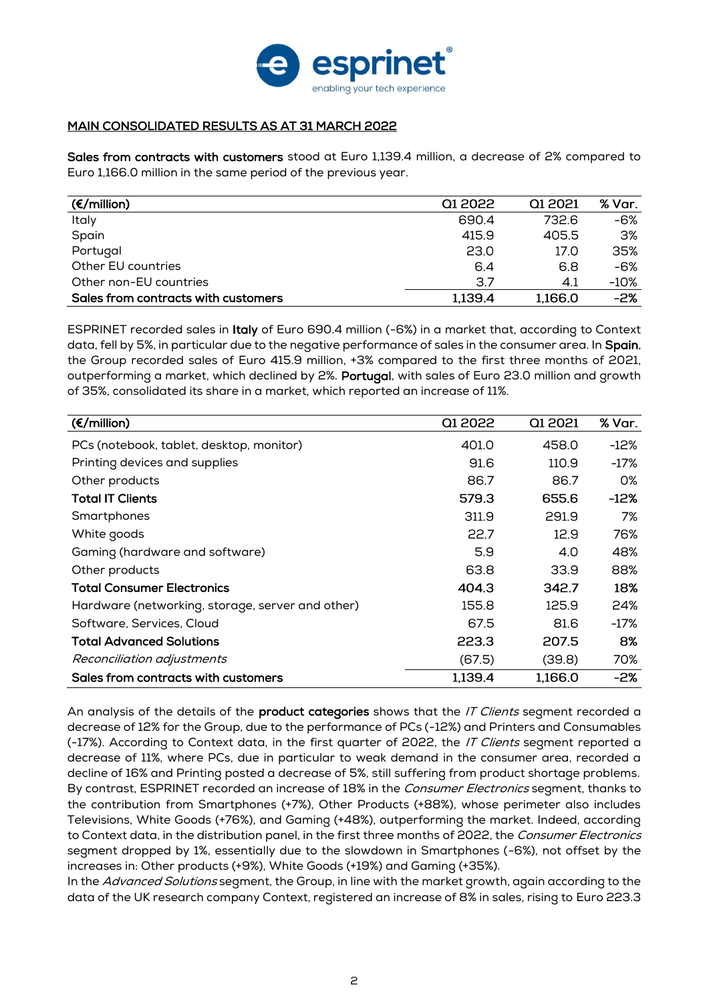

## MAIN CONSOLIDATED RESULTS AS AT 31 MARCH 2022

Sales from contracts with customers stood at Euro 1,139.4 million, a decrease of 2% compared to Euro 1,166.0 million in the same period of the previous year.

| $(\epsilon/m$ illion)               | Q1 2022 | Q1 2021 | % Var. |
|-------------------------------------|---------|---------|--------|
| Italy                               | 690.4   | 732.6   | -6%    |
| Spain                               | 415.9   | 405.5   | 3%     |
| Portugal                            | 23.0    | 17.0    | 35%    |
| Other EU countries                  | 6.4     | 6.8     | -6%    |
| Other non-EU countries              | 3.7     | 4.1     | $-10%$ |
| Sales from contracts with customers | 1,139.4 | 1,166.0 | -2%    |

ESPRINET recorded sales in Italy of Euro 690.4 million (-6%) in a market that, according to Context data, fell by 5%, in particular due to the negative performance of sales in the consumer area. In Spain, the Group recorded sales of Euro 415.9 million, +3% compared to the first three months of 2021, outperforming a market, which declined by 2%. Portugal, with sales of Euro 23.0 million and growth of 35%, consolidated its share in a market, which reported an increase of 11%.

| $(\epsilon/m$ illion)                            | Q1 2022 | Q1 2021 | % Var. |
|--------------------------------------------------|---------|---------|--------|
| PCs (notebook, tablet, desktop, monitor)         | 401.0   | 458.0   | -12%   |
| Printing devices and supplies                    | 91.6    | 110.9   | -17%   |
| Other products                                   | 86.7    | 86.7    | O%     |
| <b>Total IT Clients</b>                          | 579.3   | 655.6   | -12%   |
| Smartphones                                      | 311.9   | 291.9   | 7%     |
| White goods                                      | 22.7    | 12.9    | 76%    |
| Gaming (hardware and software)                   | 5.9     | 4.0     | 48%    |
| Other products                                   | 63.8    | 33.9    | 88%    |
| <b>Total Consumer Electronics</b>                | 404.3   | 342.7   | 18%    |
| Hardware (networking, storage, server and other) | 155.8   | 125.9   | 24%    |
| Software, Services, Cloud                        | 67.5    | 81.6    | -17%   |
| <b>Total Advanced Solutions</b>                  | 223.3   | 207.5   | 8%     |
| Reconciliation adjustments                       | (67.5)  | (39.8)  | 70%    |
| Sales from contracts with customers              | 1,139.4 | 1,166.0 | -2%    |

An analysis of the details of the **product categories** shows that the IT Clients segment recorded a decrease of 12% for the Group, due to the performance of PCs (-12%) and Printers and Consumables (-17%). According to Context data, in the first quarter of 2022, the IT Clients segment reported a decrease of 11%, where PCs, due in particular to weak demand in the consumer area, recorded a decline of 16% and Printing posted a decrease of 5%, still suffering from product shortage problems. By contrast, ESPRINET recorded an increase of 18% in the Consumer Electronics segment, thanks to the contribution from Smartphones (+7%), Other Products (+88%), whose perimeter also includes Televisions, White Goods (+76%), and Gaming (+48%), outperforming the market. Indeed, according to Context data, in the distribution panel, in the first three months of 2022, the Consumer Electronics segment dropped by 1%, essentially due to the slowdown in Smartphones (-6%), not offset by the increases in: Other products (+9%), White Goods (+19%) and Gaming (+35%).

In the Advanced Solutions segment, the Group, in line with the market growth, again according to the data of the UK research company Context, registered an increase of 8% in sales, rising to Euro 223.3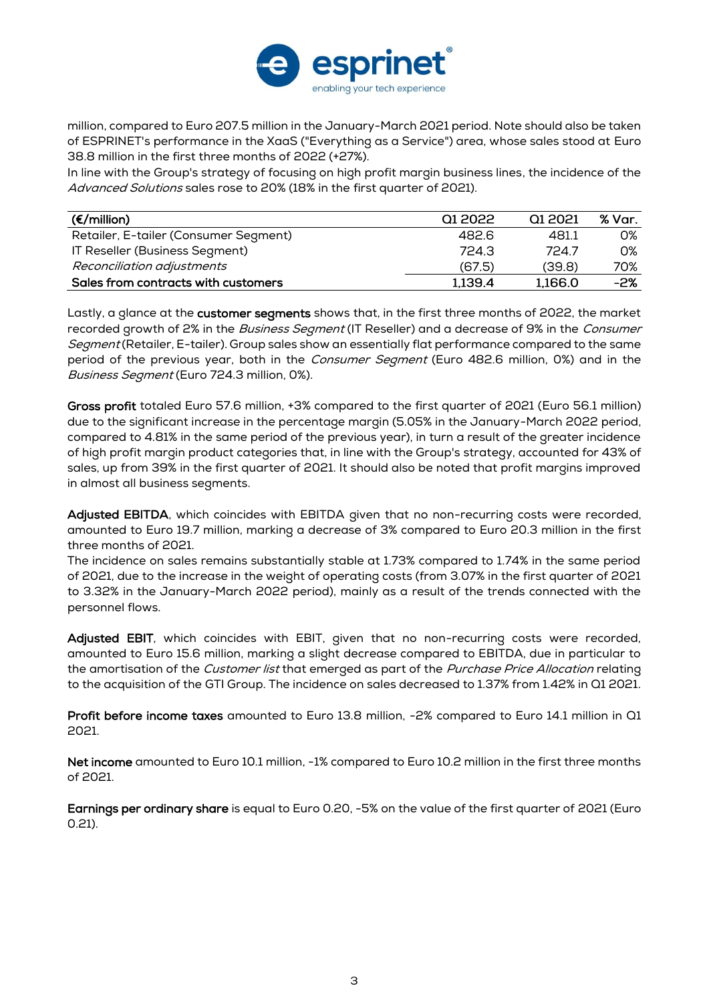

million, compared to Euro 207.5 million in the January-March 2021 period. Note should also be taken of ESPRINET's performance in the XaaS ("Everything as a Service") area, whose sales stood at Euro 38.8 million in the first three months of 2022 (+27%).

In line with the Group's strategy of focusing on high profit margin business lines, the incidence of the Advanced Solutions sales rose to 20% (18% in the first quarter of 2021).

| $(\epsilon/m$ illion)                 | 01 2022 | Q12021  | % Var. |
|---------------------------------------|---------|---------|--------|
| Retailer, E-tailer (Consumer Segment) | 482.6   | 481.1   | O%     |
| IT Reseller (Business Segment)        | 724.3   | 7247    | O%     |
| Reconciliation adjustments            | (67.5)  | (39.8)  | 70%    |
| Sales from contracts with customers   | 1,139.4 | 1,166.0 | -2%    |

Lastly, a glance at the customer segments shows that, in the first three months of 2022, the market recorded growth of 2% in the Business Segment (IT Reseller) and a decrease of 9% in the Consumer Segment (Retailer, E-tailer). Group sales show an essentially flat performance compared to the same period of the previous year, both in the *Consumer Segment* (Euro 482.6 million, 0%) and in the Business Segment (Euro 724.3 million, 0%).

Gross profit totaled Euro 57.6 million, +3% compared to the first quarter of 2021 (Euro 56.1 million) due to the significant increase in the percentage margin (5.05% in the January-March 2022 period, compared to 4.81% in the same period of the previous year), in turn a result of the greater incidence of high profit margin product categories that, in line with the Group's strategy, accounted for 43% of sales, up from 39% in the first quarter of 2021. It should also be noted that profit margins improved in almost all business segments.

Adjusted EBITDA, which coincides with EBITDA given that no non-recurring costs were recorded, amounted to Euro 19.7 million, marking a decrease of 3% compared to Euro 20.3 million in the first three months of 2021.

The incidence on sales remains substantially stable at 1.73% compared to 1.74% in the same period of 2021, due to the increase in the weight of operating costs (from 3.07% in the first quarter of 2021 to 3.32% in the January-March 2022 period), mainly as a result of the trends connected with the personnel flows.

Adjusted EBIT, which coincides with EBIT, given that no non-recurring costs were recorded, amounted to Euro 15.6 million, marking a slight decrease compared to EBITDA, due in particular to the amortisation of the Customer list that emerged as part of the Purchase Price Allocation relating to the acquisition of the GTI Group. The incidence on sales decreased to 1.37% from 1.42% in Q1 2021.

Profit before income taxes amounted to Euro 13.8 million, -2% compared to Euro 14.1 million in Q1 2021.

Net income amounted to Euro 10.1 million, -1% compared to Euro 10.2 million in the first three months of 2021.

Earnings per ordinary share is equal to Euro 0.20, -5% on the value of the first quarter of 2021 (Euro 0.21).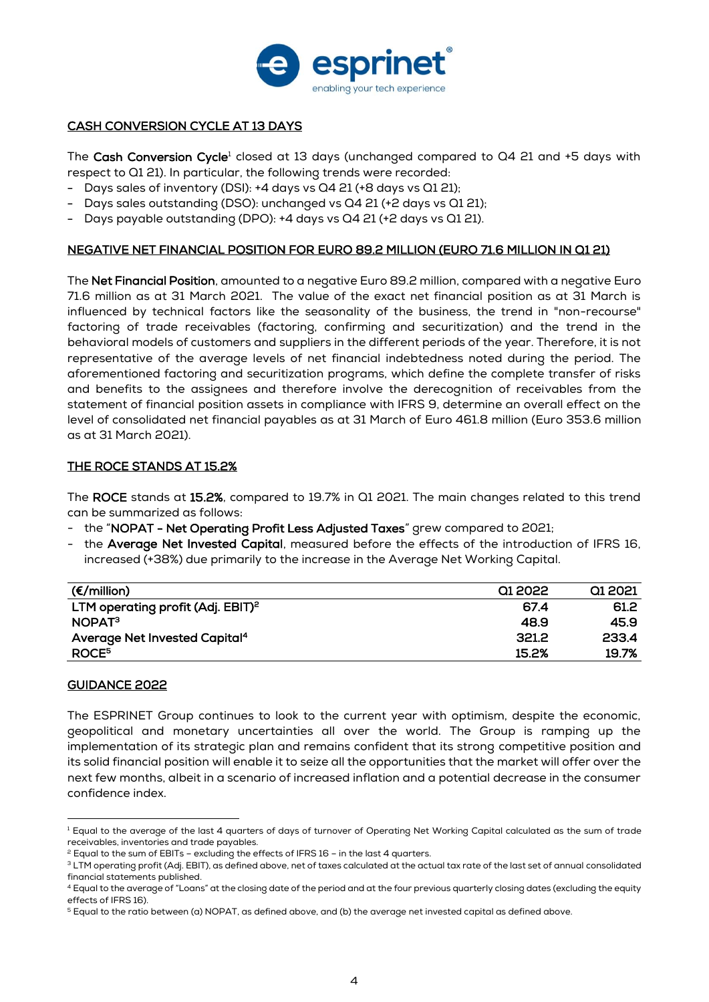

## CASH CONVERSION CYCLE AT 13 DAYS

The Cash Conversion Cycle<sup>1</sup> closed at 13 days (unchanged compared to  $Q4$  21 and  $+5$  days with respect to Q1 21). In particular, the following trends were recorded:

- Days sales of inventory (DSI): +4 days vs Q4 21 (+8 days vs Q1 21);
- Days sales outstanding (DSO): unchanged vs Q4 21 (+2 days vs Q1 21);
- Days payable outstanding (DPO): +4 days vs Q4 21 (+2 days vs Q1 21).

## NEGATIVE NET FINANCIAL POSITION FOR EURO 89.2 MILLION (EURO 71.6 MILLION IN Q1 21)

The Net Financial Position, amounted to a negative Euro 89.2 million, compared with a negative Euro 71.6 million as at 31 March 2021. The value of the exact net financial position as at 31 March is influenced by technical factors like the seasonality of the business, the trend in "non-recourse" factoring of trade receivables (factoring, confirming and securitization) and the trend in the behavioral models of customers and suppliers in the different periods of the year. Therefore, it is not representative of the average levels of net financial indebtedness noted during the period. The aforementioned factoring and securitization programs, which define the complete transfer of risks and benefits to the assignees and therefore involve the derecognition of receivables from the statement of financial position assets in compliance with IFRS 9, determine an overall effect on the level of consolidated net financial payables as at 31 March of Euro 461.8 million (Euro 353.6 million as at 31 March 2021).

## THE ROCE STANDS AT 15.2%

The ROCE stands at 15.2%, compared to 19.7% in Q1 2021. The main changes related to this trend can be summarized as follows:

- the "NOPAT Net Operating Profit Less Adjusted Taxes" grew compared to 2021;
- the Average Net Invested Capital, measured before the effects of the introduction of IFRS 16, increased (+38%) due primarily to the increase in the Average Net Working Capital.

| $(\epsilon/m$ illion)                         | Q1 2022 | Q1 2021 |
|-----------------------------------------------|---------|---------|
| LTM operating profit (Adj. EBIT) <sup>2</sup> | 67.4    | 61.2    |
| NOPAT <sup>3</sup>                            | 48.9    | 45.9    |
| Average Net Invested Capital <sup>4</sup>     | 321.2   | 233.4   |
| ROCE <sup>5</sup>                             | 15.2%   | 19.7%   |

## GUIDANCE 2022

The ESPRINET Group continues to look to the current year with optimism, despite the economic, geopolitical and monetary uncertainties all over the world. The Group is ramping up the implementation of its strategic plan and remains confident that its strong competitive position and its solid financial position will enable it to seize all the opportunities that the market will offer over the next few months, albeit in a scenario of increased inflation and a potential decrease in the consumer confidence index.

<sup>&</sup>lt;sup>1</sup> Equal to the average of the last 4 quarters of days of turnover of Operating Net Working Capital calculated as the sum of trade receivables, inventories and trade payables.

 $2$  Equal to the sum of EBITs – excluding the effects of IFRS 16 – in the last 4 quarters.

<sup>&</sup>lt;sup>3</sup> LTM operating profit (Adj. EBIT), as defined above, net of taxes calculated at the actual tax rate of the last set of annual consolidated financial statements published.

<sup>4</sup> Equal to the average of "Loans" at the closing date of the period and at the four previous quarterly closing dates (excluding the equity effects of IFRS 16).

<sup>5</sup> Equal to the ratio between (a) NOPAT, as defined above, and (b) the average net invested capital as defined above.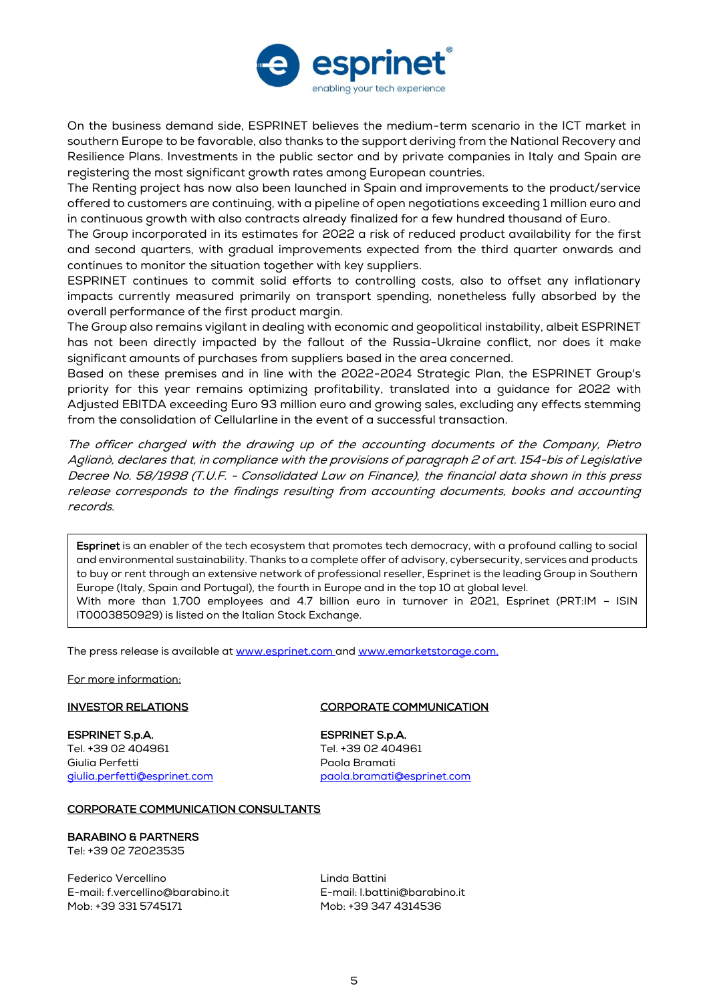

On the business demand side, ESPRINET believes the medium-term scenario in the ICT market in southern Europe to be favorable, also thanks to the support deriving from the National Recovery and Resilience Plans. Investments in the public sector and by private companies in Italy and Spain are registering the most significant growth rates among European countries.

The Renting project has now also been launched in Spain and improvements to the product/service offered to customers are continuing, with a pipeline of open negotiations exceeding 1 million euro and in continuous growth with also contracts already finalized for a few hundred thousand of Euro.

The Group incorporated in its estimates for 2022 a risk of reduced product availability for the first and second quarters, with gradual improvements expected from the third quarter onwards and continues to monitor the situation together with key suppliers.

ESPRINET continues to commit solid efforts to controlling costs, also to offset any inflationary impacts currently measured primarily on transport spending, nonetheless fully absorbed by the overall performance of the first product margin.

The Group also remains vigilant in dealing with economic and geopolitical instability, albeit ESPRINET has not been directly impacted by the fallout of the Russia-Ukraine conflict, nor does it make significant amounts of purchases from suppliers based in the area concerned.

Based on these premises and in line with the 2022-2024 Strategic Plan, the ESPRINET Group's priority for this year remains optimizing profitability, translated into a guidance for 2022 with Adjusted EBITDA exceeding Euro 93 million euro and growing sales, excluding any effects stemming from the consolidation of Cellularline in the event of a successful transaction.

The officer charged with the drawing up of the accounting documents of the Company, Pietro Aglianò, declares that, in compliance with the provisions of paragraph 2 of art. 154-bis of Legislative Decree No. 58/1998 (T.U.F. - Consolidated Law on Finance), the financial data shown in this press release corresponds to the findings resulting from accounting documents, books and accounting records.

Esprinet is an enabler of the tech ecosystem that promotes tech democracy, with a profound calling to social and environmental sustainability. Thanks to a complete offer of advisory, cybersecurity, services and products to buy or rent through an extensive network of professional reseller, Esprinet is the leading Group in Southern Europe (Italy, Spain and Portugal), the fourth in Europe and in the top 10 at global level. With more than 1,700 employees and 4.7 billion euro in turnover in 2021, Esprinet (PRT:IM – ISIN IT0003850929) is listed on the Italian Stock Exchange.

The press release is available at [www.esprinet.com](http://www.esprinet.com/) and [www.emarketstorage.com.](http://www.emarketstorage.com/)

For more information:

**ESPRINET S.p.A.**<br>Tel. +39 02 404961 **ESPRINET S.p.A.**<br>Tel. +39 02 404961 Tel. +39 02 404961 Tel. +39 02 404961 Giulia Perfetti Paola Bramati

## INVESTOR RELATIONS CORPORATE COMMUNICATION

[giulia.perfetti@esprinet.com](mailto:giulia.perfetti@esprinet.com) [paola.bramati@esprinet.com](mailto:paola.bramati@esprinet.com)

### CORPORATE COMMUNICATION CONSULTANTS

### BARABINO & PARTNERS

Tel: +39 02 72023535

Federico Vercellino and a controller controller and the Linda Battini E-mail: [f.vercellino@barabino.it](mailto:f.vercellino@barabino.it) E-mail: [l.battini@barabino.it](mailto:l.battini@barabino.it)

Mob: +39 347 4314536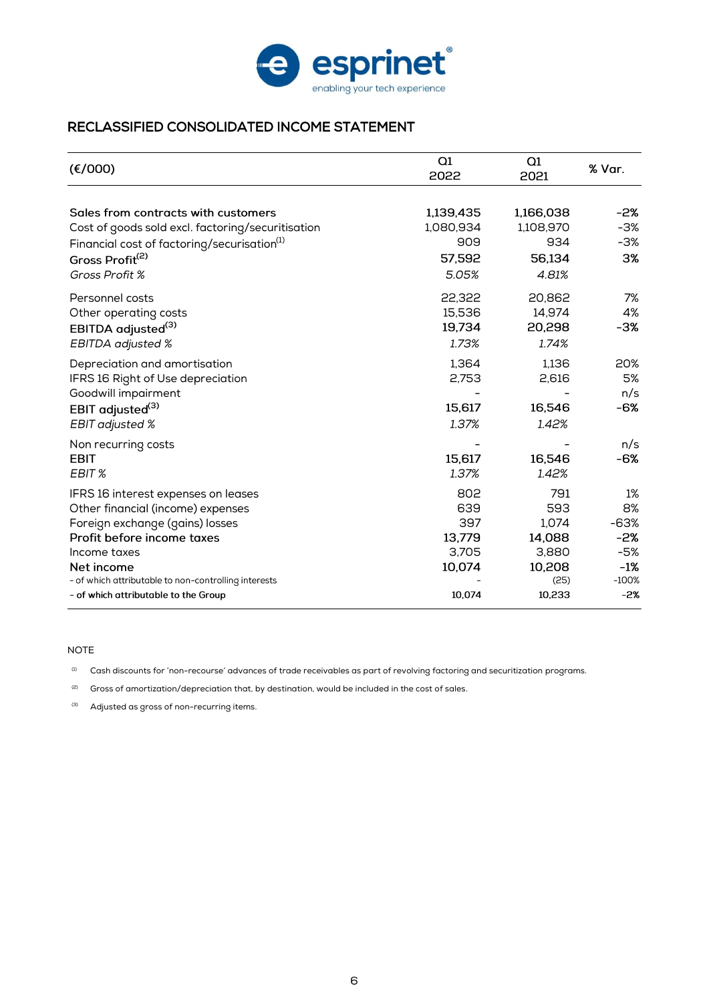

# RECLASSIFIED CONSOLIDATED INCOME STATEMENT

| (E/000)                                                 | Q1<br>2022 | Q1<br>2021 | % Var.  |
|---------------------------------------------------------|------------|------------|---------|
|                                                         |            |            |         |
| Sales from contracts with customers                     | 1,139,435  | 1,166,038  | -2%     |
| Cost of goods sold excl. factoring/securitisation       | 1,080,934  | 1,108,970  | $-3%$   |
| Financial cost of factoring/securisation <sup>(1)</sup> | 909        | 934        | -3%     |
| Gross Profit <sup>(2)</sup>                             | 57,592     | 56,134     | 3%      |
| Gross Profit %                                          | 5.05%      | 4.81%      |         |
| Personnel costs                                         | 22,322     | 20,862     | 7%      |
| Other operating costs                                   | 15,536     | 14,974     | 4%      |
| EBITDA adjusted <sup>(3)</sup>                          | 19,734     | 20,298     | -3%     |
| <b>EBITDA</b> adjusted %                                | 1.73%      | 1.74%      |         |
| Depreciation and amortisation                           | 1,364      | 1,136      | 20%     |
| IFRS 16 Right of Use depreciation                       | 2,753      | 2,616      | 5%      |
| Goodwill impairment                                     |            |            | n/s     |
| EBIT adjusted <sup>(3)</sup>                            | 15,617     | 16,546     | -6%     |
| <b>EBIT</b> adjusted %                                  | 1.37%      | 1.42%      |         |
| Non recurring costs                                     |            |            | n/s     |
| <b>EBIT</b>                                             | 15,617     | 16,546     | -6%     |
| EBIT %                                                  | 1.37%      | 1.42%      |         |
| IFRS 16 interest expenses on leases                     | 802        | 791        | 1%      |
| Other financial (income) expenses                       | 639        | 593        | 8%      |
| Foreign exchange (gains) losses                         | 397        | 1,074      | -63%    |
| Profit before income taxes                              | 13,779     | 14,088     | -2%     |
| Income taxes                                            | 3,705      | 3,880      | -5%     |
| Net income                                              | 10,074     | 10,208     | $-1%$   |
| - of which attributable to non-controlling interests    |            | (25)       | $-100%$ |
| - of which attributable to the Group                    | 10,074     | 10,233     | $-2%$   |

### NOTE

(1) Cash discounts for 'non-recourse' advances of trade receivables as part of revolving factoring and securitization programs.

 $(2)$  Gross of amortization/depreciation that, by destination, would be included in the cost of sales.

(3) Adjusted as gross of non-recurring items.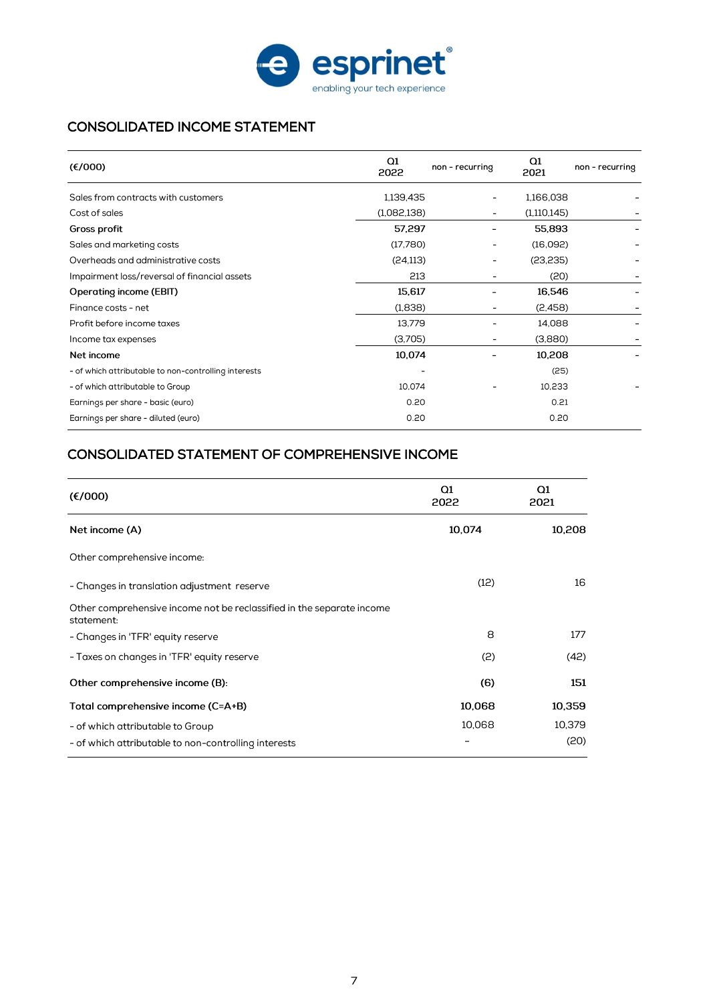

# CONSOLIDATED INCOME STATEMENT

| (€/000)                                              | Q1<br>2022  | non - recurring          | Q1<br>2021  | non - recurring |
|------------------------------------------------------|-------------|--------------------------|-------------|-----------------|
| Sales from contracts with customers                  | 1,139,435   | ۰                        | 1,166,038   |                 |
| Cost of sales                                        | (1,082,138) | -                        | (1,110,145) |                 |
| Gross profit                                         | 57,297      |                          | 55,893      |                 |
| Sales and marketing costs                            | (17,780)    | $\overline{a}$           | (16,092)    |                 |
| Overheads and administrative costs                   | (24, 113)   | $\overline{\phantom{0}}$ | (23, 235)   |                 |
| Impairment loss/reversal of financial assets         | 213         |                          | (20)        |                 |
| <b>Operating income (EBIT)</b>                       | 15,617      |                          | 16,546      |                 |
| Finance costs - net                                  | (1,838)     |                          | (2,458)     |                 |
| Profit before income taxes                           | 13,779      |                          | 14.088      |                 |
| Income tax expenses                                  | (3,705)     |                          | (3,880)     |                 |
| Net income                                           | 10,074      |                          | 10,208      |                 |
| - of which attributable to non-controlling interests |             |                          | (25)        |                 |
| - of which attributable to Group                     | 10,074      |                          | 10,233      |                 |
| Earnings per share - basic (euro)                    | 0.20        |                          | 0.21        |                 |
| Earnings per share - diluted (euro)                  | 0.20        |                          | 0.20        |                 |

# CONSOLIDATED STATEMENT OF COMPREHENSIVE INCOME

| (E/000)                                                                             | Q1<br>2022 | $\Omega$<br>2021 |
|-------------------------------------------------------------------------------------|------------|------------------|
| Net income (A)                                                                      | 10,074     | 10,208           |
| Other comprehensive income:                                                         |            |                  |
| - Changes in translation adjustment reserve                                         | (12)       | 16               |
| Other comprehensive income not be reclassified in the separate income<br>statement: |            |                  |
| - Changes in 'TFR' equity reserve                                                   | 8          | 177              |
| - Taxes on changes in 'TFR' equity reserve                                          | (2)        | (42)             |
| Other comprehensive income (B):                                                     | (6)        | 151              |
| Total comprehensive income (C=A+B)                                                  | 10,068     | 10,359           |
| - of which attributable to Group                                                    | 10,068     | 10,379           |
| - of which attributable to non-controlling interests                                |            | (20)             |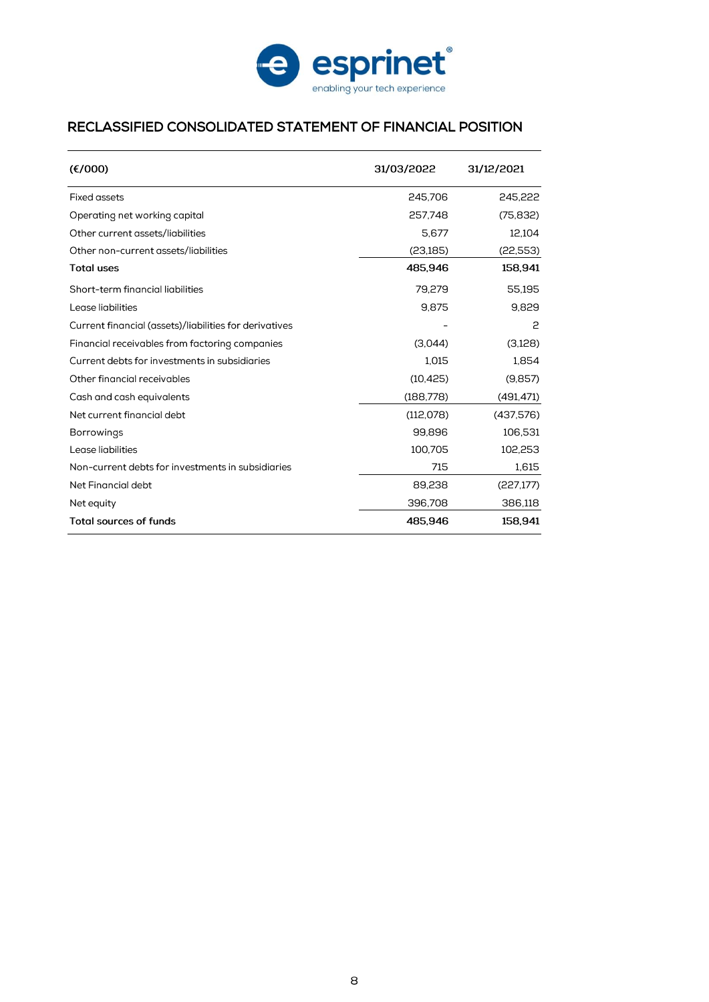

# RECLASSIFIED CONSOLIDATED STATEMENT OF FINANCIAL POSITION

| (E/000)                                                | 31/03/2022 | 31/12/2021 |
|--------------------------------------------------------|------------|------------|
| Fixed assets                                           | 245.706    | 245.222    |
| Operating net working capital                          | 257.748    | (75, 832)  |
| Other current assets/liabilities                       | 5.677      | 12,104     |
| Other non-current assets/liabilities                   | (23,185)   | (22,553)   |
| <b>Total uses</b>                                      | 485.946    | 158,941    |
| Short-term financial liabilities                       | 79,279     | 55.195     |
| Lease liabilities                                      | 9.875      | 9.829      |
| Current financial (assets)/liabilities for derivatives |            | 2          |
| Financial receivables from factoring companies         | (3.044)    | (3,128)    |
| Current debts for investments in subsidiaries          | 1,015      | 1,854      |
| Other financial receivables                            | (10, 425)  | (9.857)    |
| Cash and cash equivalents                              | (188,778)  | (491, 471) |
| Net current financial debt                             | (112,078)  | (437,576)  |
| <b>Borrowings</b>                                      | 99,896     | 106,531    |
| Lease liabilities                                      | 100,705    | 102,253    |
| Non-current debts for investments in subsidiaries      | 715        | 1,615      |
| Net Financial debt                                     | 89,238     | (227, 177) |
| Net equity                                             | 396,708    | 386,118    |
| <b>Total sources of funds</b>                          | 485,946    | 158,941    |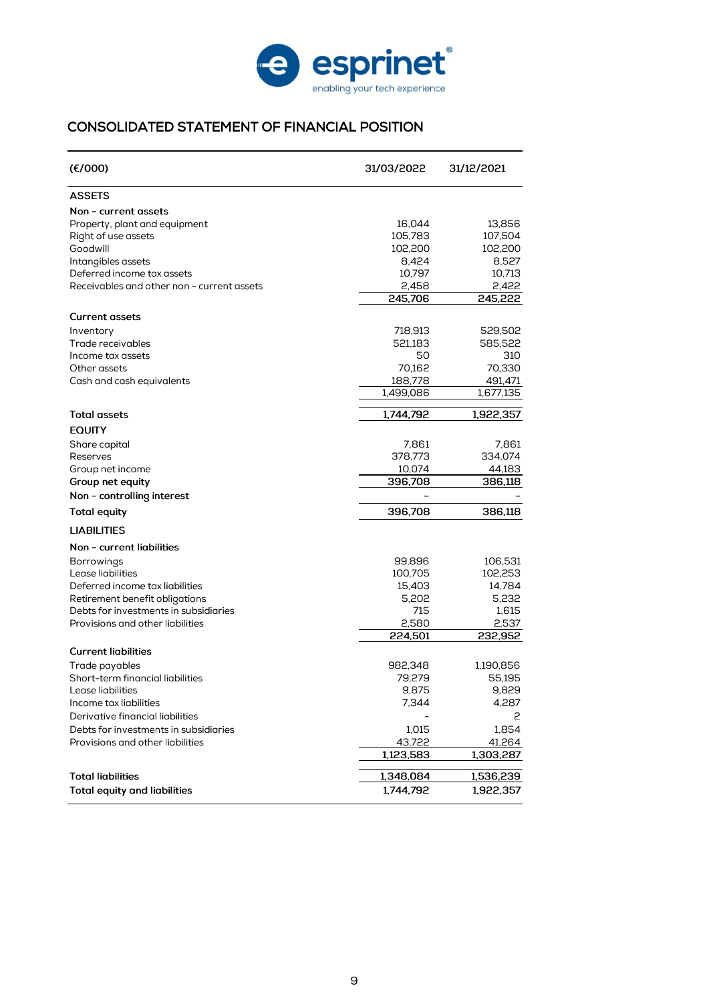

# CONSOLIDATED STATEMENT OF FINANCIAL POSITION

| (E/000)                                    | 31/03/2022 | 31/12/2021 |
|--------------------------------------------|------------|------------|
| <b>ASSETS</b>                              |            |            |
| Non - current assets                       |            |            |
| Property, plant and equipment              | 16,044     | 13.856     |
| Right of use assets                        | 105,783    | 107,504    |
| Goodwill                                   | 102,200    | 102,200    |
| Intangibles assets                         | 8,424      | 8,527      |
| Deferred income tax assets                 | 10,797     | 10,713     |
| Receivables and other non - current assets | 2,458      | 2,422      |
|                                            | 245.706    | 245,222    |
| <b>Current assets</b>                      |            |            |
| Inventory                                  | 718,913    | 529,502    |
| Trade receivables                          | 521,183    | 585,522    |
| Income tax assets                          | 50         | 310        |
| Other assets                               | 70,162     | 70,330     |
| Cash and cash equivalents                  | 188,778    | 491,471    |
|                                            | 1,499,086  | 1,677,135  |
| <b>Total assets</b>                        | 1,744,792  | 1,922,357  |
| <b>EQUITY</b>                              |            |            |
| Share capital                              | 7,861      | 7,861      |
| Reserves                                   | 378,773    | 334,074    |
| Group net income                           | 10,074     | 44,183     |
| Group net equity                           | 396,708    | 386,118    |
| Non - controlling interest                 |            |            |
| <b>Total equity</b>                        | 396,708    | 386,118    |
| <b>LIABILITIES</b>                         |            |            |
| Non - current liabilities                  |            |            |
| <b>Borrowings</b>                          | 99,896     | 106,531    |
| Lease liabilities                          | 100,705    | 102,253    |
| Deferred income tax liabilities            | 15,403     | 14,784     |
| Retirement benefit obligations             | 5,202      | 5,232      |
| Debts for investments in subsidiaries      | 715        | 1,615      |
| Provisions and other liabilities           | 2,580      | 2,537      |
|                                            | 224.501    | 232,952    |
| <b>Current liabilities</b>                 |            |            |
| Trade payables                             | 982.348    | 1,190,856  |
| Short-term financial liabilities           | 79,279     | 55.195     |
| Lease liabilities                          | 9,875      | 9,829      |
| Income tax liabilities                     | 7,344      | 4,287      |
| Derivative financial liabilities           |            | 2          |
| Debts for investments in subsidiaries      | 1,015      | 1,854      |
| Provisions and other liabilities           | 43,722     | 41,264     |
|                                            | 1,123,583  | 1,303,287  |
| <b>Total liabilities</b>                   |            |            |
|                                            | 1,348,084  | 1,536,239  |
| <b>Total equity and liabilities</b>        | 1,744,792  | 1,922,357  |